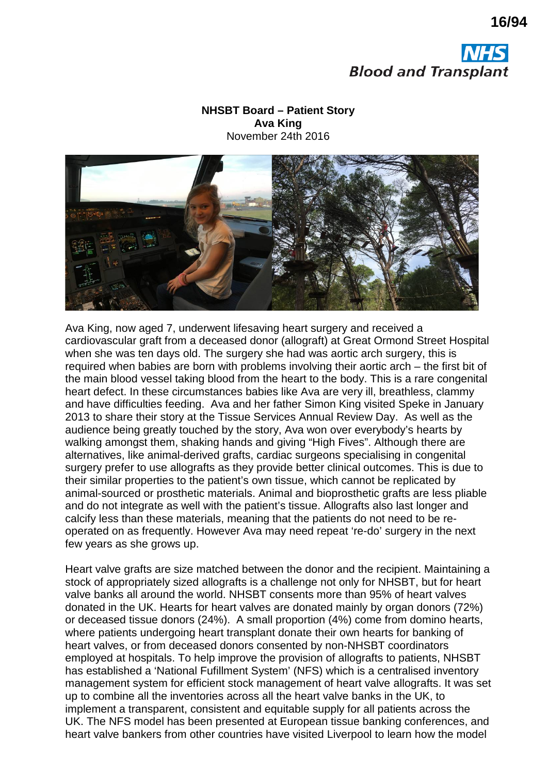



## **NHSBT Board – Patient Story Ava King** November 24th 2016



Ava King, now aged 7, underwent lifesaving heart surgery and received a cardiovascular graft from a deceased donor (allograft) at Great Ormond Street Hospital when she was ten days old. The surgery she had was aortic arch surgery, this is required when babies are born with problems involving their aortic arch – the first bit of the main blood vessel taking blood from the heart to the body. This is a rare congenital heart defect. In these circumstances babies like Ava are very ill, breathless, clammy and have difficulties feeding. Ava and her father Simon King visited Speke in January 2013 to share their story at the Tissue Services Annual Review Day. As well as the audience being greatly touched by the story, Ava won over everybody's hearts by walking amongst them, shaking hands and giving "High Fives". Although there are alternatives, like animal-derived grafts, cardiac surgeons specialising in congenital surgery prefer to use allografts as they provide better clinical outcomes. This is due to their similar properties to the patient's own tissue, which cannot be replicated by animal-sourced or prosthetic materials. Animal and bioprosthetic grafts are less pliable and do not integrate as well with the patient's tissue. Allografts also last longer and calcify less than these materials, meaning that the patients do not need to be reoperated on as frequently. However Ava may need repeat 're-do' surgery in the next few years as she grows up.

Heart valve grafts are size matched between the donor and the recipient. Maintaining a stock of appropriately sized allografts is a challenge not only for NHSBT, but for heart valve banks all around the world. NHSBT consents more than 95% of heart valves donated in the UK. Hearts for heart valves are donated mainly by organ donors (72%) or deceased tissue donors (24%). A small proportion (4%) come from domino hearts, where patients undergoing heart transplant donate their own hearts for banking of heart valves, or from deceased donors consented by non-NHSBT coordinators employed at hospitals. To help improve the provision of allografts to patients, NHSBT has established a 'National Fufillment System' (NFS) which is a centralised inventory management system for efficient stock management of heart valve allografts. It was set up to combine all the inventories across all the heart valve banks in the UK, to implement a transparent, consistent and equitable supply for all patients across the UK. The NFS model has been presented at European tissue banking conferences, and heart valve bankers from other countries have visited Liverpool to learn how the model